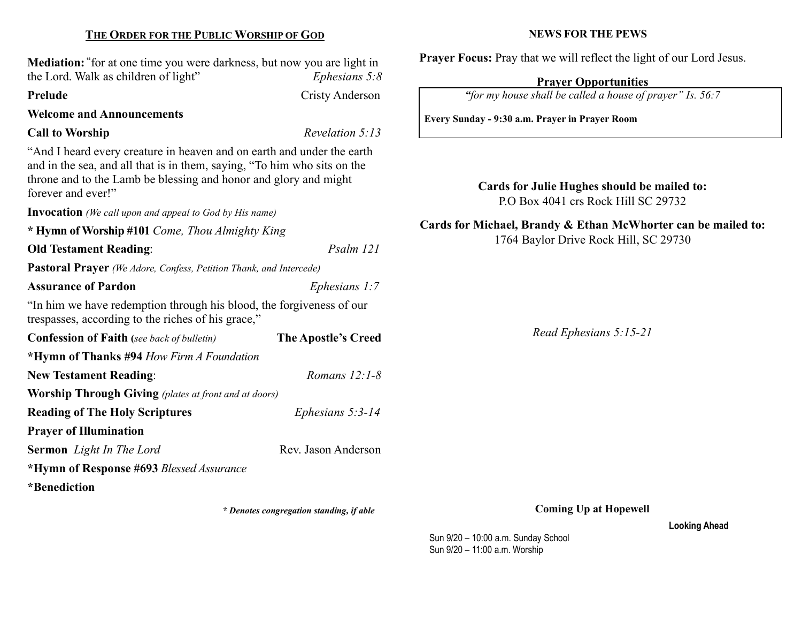# THE ORDER FOR THE PUBLIC WORSHIP OF GOD

Mediation: "for at one time you were darkness, but now you are light in the Lord. Walk as children of light"  $Ephesians 5:8$ 

#### Prelude Cristy Anderson

Welcome and Announcements

### Call to Worship Revelation 5:13

"And I heard every creature in heaven and on earth and under the earth and in the sea, and all that is in them, saying, "To him who sits on the throne and to the Lamb be blessing and honor and glory and might forever and ever!"

Invocation (We call upon and appeal to God by His name)

\* Hymn of Worship #101 Come, Thou Almighty King Old Testament Reading: Psalm 121 Pastoral Prayer (We Adore, Confess, Petition Thank, and Intercede) Assurance of Pardon Ephesians 1:7 "In him we have redemption through his blood, the forgiveness of our trespasses, according to the riches of his grace," Confession of Faith (see back of bulletin) The Apostle's Creed \*Hymn of Thanks #94 How Firm A Foundation New Testament Reading: Romans 12:1-8 Worship Through Giving (plates at front and at doors) Reading of The Holy Scriptures Ephesians 5:3-14 Prayer of Illumination Sermon Light In The Lord Rev. Jason Anderson \*Hymn of Response #693 Blessed Assurance \*Benediction

\* Denotes congregation standing, if able

#### NEWS FOR THE PEWS

Prayer Focus: Pray that we will reflect the light of our Lord Jesus.

#### Prayer Opportunities

"for my house shall be called a house of prayer" Is. 56:7

Every Sunday - 9:30 a.m. Prayer in Prayer Room

Cards for Julie Hughes should be mailed to: P.O Box 4041 crs Rock Hill SC 29732

Cards for Michael, Brandy & Ethan McWhorter can be mailed to: 1764 Baylor Drive Rock Hill, SC 29730

Read Ephesians 5:15-21

Coming Up at Hopewell

Looking Ahead

Sun 9/20 – 10:00 a.m. Sunday School Sun 9/20 – 11:00 a.m. Worship